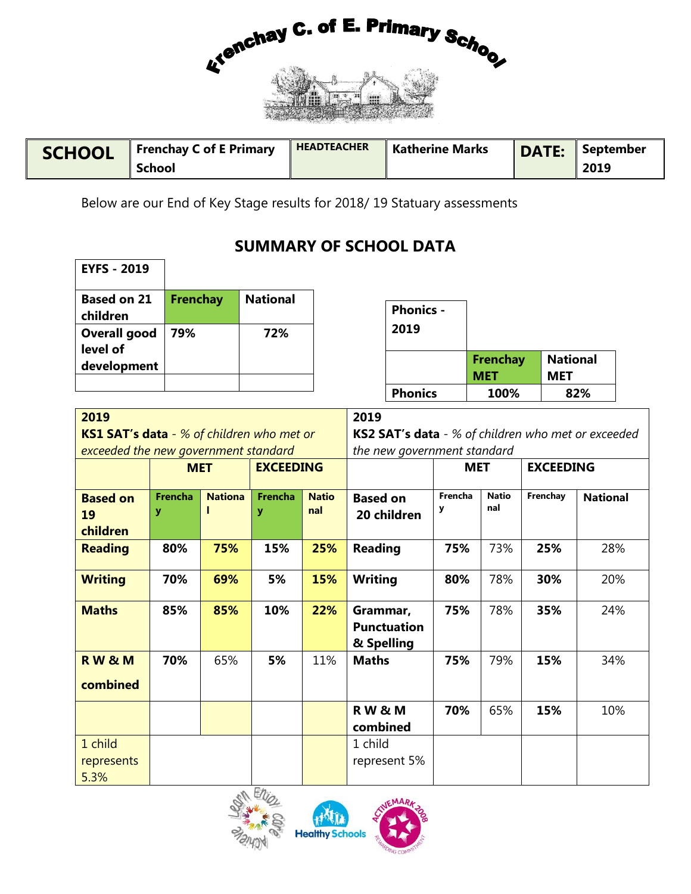

| <b>SCHOOL</b> | <b>Frenchay C of E Primary</b> | <b>HEADTEACHER</b> | <b>Katherine Marks</b> | <b>DATE:</b> | September |  |
|---------------|--------------------------------|--------------------|------------------------|--------------|-----------|--|
|               | <b>School</b>                  |                    |                        |              | 2019      |  |

Below are our End of Key Stage results for 2018/ 19 Statuary assessments

## **SUMMARY OF SCHOOL DATA**

| <b>EYFS - 2019</b>              |          |                 |                  |                               |                               |
|---------------------------------|----------|-----------------|------------------|-------------------------------|-------------------------------|
| <b>Based on 21</b><br>children  | Frenchay | <b>National</b> | <b>Phonics -</b> |                               |                               |
| <b>Overall good</b><br>level of | 79%      | 72%             | 2019             |                               |                               |
| development                     |          |                 |                  | <b>Frenchay</b><br><b>MET</b> | <b>National</b><br><b>MET</b> |
|                                 |          |                 | <b>Phonics</b>   | 100%                          | 82%                           |

| 2019<br><b>KS1 SAT's data</b> - % of children who met or<br>exceeded the new government standard |                     |                |                     |                     | 2019<br><b>KS2 SAT's data</b> - % of children who met or exceeded<br>the new government standard |              |                     |                  |                 |  |  |
|--------------------------------------------------------------------------------------------------|---------------------|----------------|---------------------|---------------------|--------------------------------------------------------------------------------------------------|--------------|---------------------|------------------|-----------------|--|--|
|                                                                                                  | <b>MET</b>          |                | <b>EXCEEDING</b>    |                     |                                                                                                  | <b>MET</b>   |                     | <b>EXCEEDING</b> |                 |  |  |
| <b>Based on</b><br>19<br>children                                                                | <b>Frencha</b><br>У | <b>Nationa</b> | <b>Frencha</b><br>У | <b>Natio</b><br>nal | <b>Based on</b><br>20 children                                                                   | Frencha<br>у | <b>Natio</b><br>nal | Frenchay         | <b>National</b> |  |  |
| <b>Reading</b>                                                                                   | 80%                 | 75%            | 15%                 | 25%                 | <b>Reading</b>                                                                                   | 75%          | 73%                 | 25%              | 28%             |  |  |
| <b>Writing</b>                                                                                   | 70%                 | 69%            | 5%                  | 15%                 | <b>Writing</b>                                                                                   | 80%          | 78%                 | 30%              | 20%             |  |  |
| <b>Maths</b>                                                                                     | 85%                 | 85%            | 10%                 | 22%                 | Grammar,<br><b>Punctuation</b><br>& Spelling                                                     | 75%          | 78%                 | 35%              | 24%             |  |  |
| <b>RW&amp;M</b><br>combined                                                                      | 70%                 | 65%            | 5%                  | 11%                 | <b>Maths</b>                                                                                     | 75%          | 79%                 | 15%              | 34%             |  |  |
|                                                                                                  |                     |                |                     |                     | <b>RW&amp;M</b><br>combined                                                                      | 70%          | 65%                 | 15%              | 10%             |  |  |
| 1 child<br>represents<br>5.3%                                                                    |                     |                |                     |                     | 1 child<br>represent 5%                                                                          |              |                     |                  |                 |  |  |